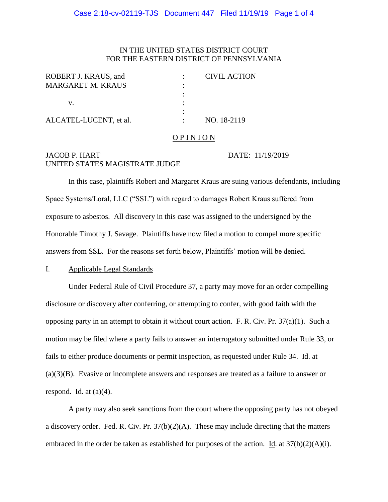#### Case 2:18-cv-02119-TJS Document 447 Filed 11/19/19 Page 1 of 4

### IN THE UNITED STATES DISTRICT COURT FOR THE EASTERN DISTRICT OF PENNSYLVANIA

| ROBERT J. KRAUS, and     | <b>CIVIL ACTION</b> |
|--------------------------|---------------------|
| <b>MARGARET M. KRAUS</b> |                     |
|                          |                     |
|                          |                     |
|                          |                     |
| ALCATEL-LUCENT, et al.   | NO. 18-2119         |

#### OP IN ION

# JACOB P. HART DATE: 11/19/2019 UNITED STATES MAGISTRATE JUDGE

In this case, plaintiffs Robert and Margaret Kraus are suing various defendants, including Space Systems/Loral, LLC ("SSL") with regard to damages Robert Kraus suffered from exposure to asbestos. All discovery in this case was assigned to the undersigned by the Honorable Timothy J. Savage. Plaintiffs have now filed a motion to compel more specific answers from SSL. For the reasons set forth below, Plaintiffs' motion will be denied.

#### I. Applicable Legal Standards

Under Federal Rule of Civil Procedure 37, a party may move for an order compelling disclosure or discovery after conferring, or attempting to confer, with good faith with the opposing party in an attempt to obtain it without court action. F. R. Civ. Pr. 37(a)(1). Such a motion may be filed where a party fails to answer an interrogatory submitted under Rule 33, or fails to either produce documents or permit inspection, as requested under Rule 34. Id. at (a)(3)(B). Evasive or incomplete answers and responses are treated as a failure to answer or respond. Id. at  $(a)(4)$ .

A party may also seek sanctions from the court where the opposing party has not obeyed a discovery order. Fed. R. Civ. Pr. 37(b)(2)(A). These may include directing that the matters embraced in the order be taken as established for purposes of the action. Id. at  $37(b)(2)(A)(i)$ .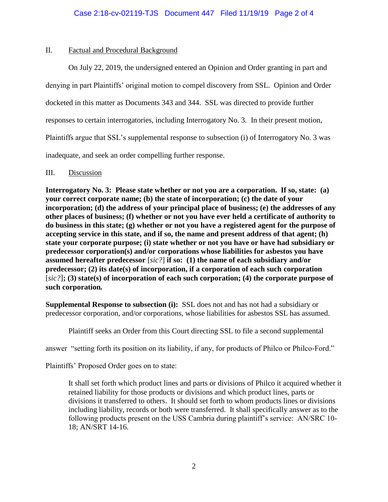## II. Factual and Procedural Background

On July 22, 2019, the undersigned entered an Opinion and Order granting in part and denying in part Plaintiffs' original motion to compel discovery from SSL. Opinion and Order docketed in this matter as Documents 343 and 344. SSL was directed to provide further responses to certain interrogatories, including Interrogatory No. 3. In their present motion, Plaintiffs argue that SSL's supplemental response to subsection (i) of Interrogatory No. 3 was inadequate, and seek an order compelling further response.

## III. Discussion

**Interrogatory No. 3: Please state whether or not you are a corporation. If so, state: (a) your correct corporate name; (b) the state of incorporation; (c) the date of your incorporation; (d) the address of your principal place of business; (e) the addresses of any other places of business; (f) whether or not you have ever held a certificate of authority to do business in this state; (g) whether or not you have a registered agent for the purpose of accepting service in this state, and if so, the name and present address of that agent; (h) state your corporate purpose; (i) state whether or not you have or have had subsidiary or predecessor corporation(s) and/or corporations whose liabilities for asbestos you have assumed hereafter predecessor** [*sic?*] **if so: (1) the name of each subsidiary and/or predecessor; (2) its date(s) of incorporation, if a corporation of each such corporation**  [*sic?*]**; (3) state(s) of incorporation of each such corporation; (4) the corporate purpose of such corporation***.*

**Supplemental Response to subsection (i):** SSL does not and has not had a subsidiary or predecessor corporation, and/or corporations, whose liabilities for asbestos SSL has assumed.

Plaintiff seeks an Order from this Court directing SSL to file a second supplemental

answer "setting forth its position on its liability, if any, for products of Philco or Philco-Ford."

Plaintiffs' Proposed Order goes on to state:

It shall set forth which product lines and parts or divisions of Philco it acquired whether it retained liability for those products or divisions and which product lines, parts or divisions it transferred to others. It should set forth to whom products lines or divisions including liability, records or both were transferred. It shall specifically answer as to the following products present on the USS Cambria during plaintiff's service: AN/SRC 10- 18; AN/SRT 14-16.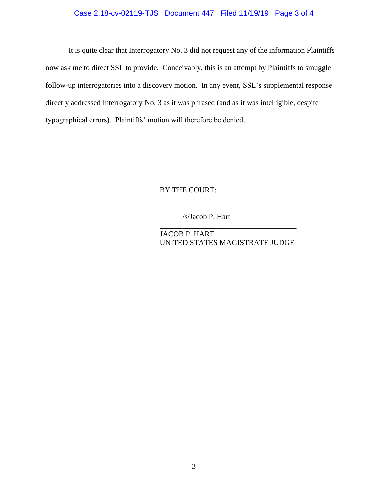## Case 2:18-cv-02119-TJS Document 447 Filed 11/19/19 Page 3 of 4

It is quite clear that Interrogatory No. 3 did not request any of the information Plaintiffs now ask me to direct SSL to provide. Conceivably, this is an attempt by Plaintiffs to smuggle follow-up interrogatories into a discovery motion. In any event, SSL's supplemental response directly addressed Interrogatory No. 3 as it was phrased (and as it was intelligible, despite typographical errors). Plaintiffs' motion will therefore be denied.

### BY THE COURT:

### /s/Jacob P. Hart

JACOB P. HART UNITED STATES MAGISTRATE JUDGE

\_\_\_\_\_\_\_\_\_\_\_\_\_\_\_\_\_\_\_\_\_\_\_\_\_\_\_\_\_\_\_\_\_\_\_\_